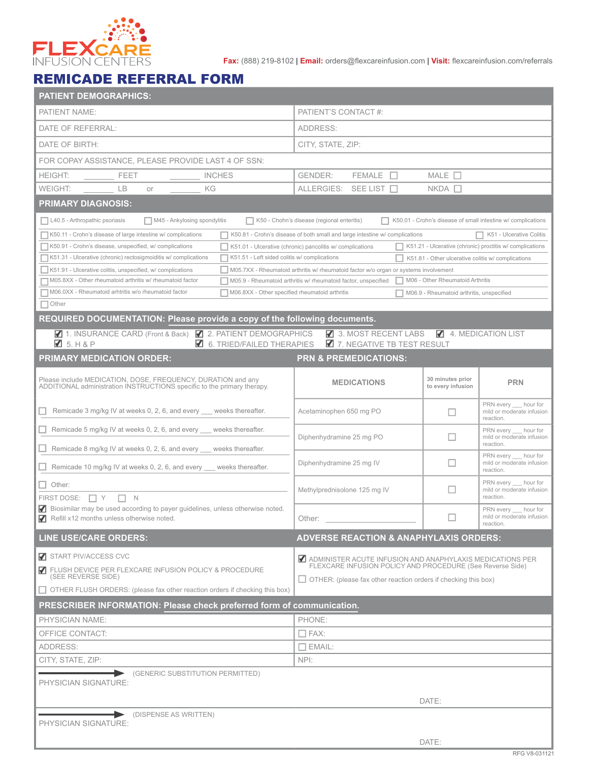

**Fax:** (888) 219-8102 | **Email:** orders@flexcareinfusion.com | **Visit:** flexcareinfusion.com/referrals

## REMICADE REFERRAL FORM

| <b>PATIENT DEMOGRAPHICS:</b>                                                                                                                                                     |                                                                                                                        |                                       |                                                              |  |  |  |  |  |  |
|----------------------------------------------------------------------------------------------------------------------------------------------------------------------------------|------------------------------------------------------------------------------------------------------------------------|---------------------------------------|--------------------------------------------------------------|--|--|--|--|--|--|
| PATIENT NAME:                                                                                                                                                                    | PATIENT'S CONTACT #:                                                                                                   |                                       |                                                              |  |  |  |  |  |  |
| DATE OF REFERRAL:                                                                                                                                                                | ADDRESS:                                                                                                               |                                       |                                                              |  |  |  |  |  |  |
| DATE OF BIRTH:                                                                                                                                                                   | CITY, STATE, ZIP:                                                                                                      |                                       |                                                              |  |  |  |  |  |  |
| FOR COPAY ASSISTANCE, PLEASE PROVIDE LAST 4 OF SSN:                                                                                                                              |                                                                                                                        |                                       |                                                              |  |  |  |  |  |  |
| <b>HEIGHT:</b><br><b>INCHES</b><br>FEET                                                                                                                                          | <b>FEMALE</b><br>MALE $\square$<br><b>GENDER:</b><br>$\Box$                                                            |                                       |                                                              |  |  |  |  |  |  |
| WEIGHT:<br>LB<br>ΚG<br>or                                                                                                                                                        | $NKDA$ $\Box$<br>ALLERGIES: SEE LIST                                                                                   |                                       |                                                              |  |  |  |  |  |  |
| <b>PRIMARY DIAGNOSIS:</b>                                                                                                                                                        |                                                                                                                        |                                       |                                                              |  |  |  |  |  |  |
| L40.5 - Arthropathic psoriasis<br>K50.01 - Crohn's disease of small intestine w/ complications<br>M45 - Ankylosing spondylitis<br>K50 - Chohn's disease (regional enteritis)     |                                                                                                                        |                                       |                                                              |  |  |  |  |  |  |
| K50.11 - Crohn's disease of large intestine w/ complications<br>$\Box$ K50.81 - Crohn's disease of both small and large intestine w/ complications<br>K51 - Ulcerative Colitis   |                                                                                                                        |                                       |                                                              |  |  |  |  |  |  |
| K50.91 - Crohn's disease, unspecified, w/ complications<br>K51.21 - Ulcerative (chronic) proctitis w/ complications<br>K51.01 - Ulcerative (chronic) pancolitis w/ complications |                                                                                                                        |                                       |                                                              |  |  |  |  |  |  |
| K51.51 - Left sided colitis w/ complications<br>K51.31 - Ulcerative (chronic) rectosigmoiditis w/ complications                                                                  | $\parallel$ K51.81 - Other ulcerative colitis w/ complications                                                         |                                       |                                                              |  |  |  |  |  |  |
| K51.91 - Ulcerative colitis, unspecified, w/ complications                                                                                                                       | │ M05.7XX - Rheumatoid arthritis w/ rheumatoid factor w/o organ or systems involvement                                 |                                       |                                                              |  |  |  |  |  |  |
| ◯ M05.8XX - Other rheumatoid arthritis w/ rheumatoid factor                                                                                                                      | M06 - Other Rheumatoid Arthritis<br>M05.9 - Rheumatoid arthritis w/ rheumatoid factor, unspecified                     |                                       |                                                              |  |  |  |  |  |  |
| M06.0XX - Rheumatoid arhtritis w/o rheumatoid factor<br>M06.8XX - Other specified rheumatoid arthritis<br>M06.9 - Rheumatoid arthritis, unspecified<br>$\Box$ Other              |                                                                                                                        |                                       |                                                              |  |  |  |  |  |  |
| <b>REQUIRED DOCUMENTATION: Please provide a copy of the following documents.</b>                                                                                                 |                                                                                                                        |                                       |                                                              |  |  |  |  |  |  |
| ◯ 1. INSURANCE CARD (Front & Back) ◯ 2. PATIENT DEMOGRAPHICS                                                                                                                     | 3. MOST RECENT LABS                                                                                                    |                                       | 4. MEDICATION LIST                                           |  |  |  |  |  |  |
| $\boxtimes$ 5. H & P<br>$\blacksquare$ 6. TRIED/FAILED THERAPIES                                                                                                                 | 7. NEGATIVE TB TEST RESULT                                                                                             |                                       |                                                              |  |  |  |  |  |  |
| <b>PRIMARY MEDICATION ORDER:</b>                                                                                                                                                 | <b>PRN &amp; PREMEDICATIONS:</b>                                                                                       |                                       |                                                              |  |  |  |  |  |  |
|                                                                                                                                                                                  |                                                                                                                        |                                       |                                                              |  |  |  |  |  |  |
| Please include MEDICATION, DOSE, FREQUENCY, DURATION and any<br>ADDITIONAL administration INSTRUCTIONS specific to the primary therapy.                                          | <b>MEDICATIONS</b>                                                                                                     | 30 minutes prior<br>to every infusion | <b>PRN</b>                                                   |  |  |  |  |  |  |
|                                                                                                                                                                                  |                                                                                                                        |                                       | PRN every hour for                                           |  |  |  |  |  |  |
| Remicade 3 mg/kg IV at weeks 0, 2, 6, and every ___ weeks thereafter.                                                                                                            | Acetaminophen 650 mg PO                                                                                                | П                                     | mild or moderate infusion<br>reaction.                       |  |  |  |  |  |  |
| Remicade 5 mg/kg IV at weeks 0, 2, 6, and every ___ weeks thereafter.                                                                                                            |                                                                                                                        |                                       | PRN every hour for                                           |  |  |  |  |  |  |
| $\Box$ Remicade 8 mg/kg IV at weeks 0, 2, 6, and every $\Box$ weeks thereafter.                                                                                                  | Diphenhydramine 25 mg PO                                                                                               | H                                     | mild or moderate infusion<br>reaction.                       |  |  |  |  |  |  |
|                                                                                                                                                                                  | Diphenhydramine 25 mg IV                                                                                               | П                                     | PRN every hour for<br>mild or moderate infusion              |  |  |  |  |  |  |
| Remicade 10 mg/kg IV at weeks 0, 2, 6, and every ___ weeks thereafter.                                                                                                           |                                                                                                                        | reaction.                             |                                                              |  |  |  |  |  |  |
| $\Box$ Other:                                                                                                                                                                    | Methylprednisolone 125 mg IV                                                                                           |                                       | PRN every __ hour for<br>mild or moderate infusion           |  |  |  |  |  |  |
| FIRST DOSE: $\Box$ Y<br>$\Box$ N<br>Biosimilar may be used according to payer guidelines, unless otherwise noted.                                                                |                                                                                                                        |                                       | reaction.                                                    |  |  |  |  |  |  |
| Refill x12 months unless otherwise noted.                                                                                                                                        | Other:                                                                                                                 |                                       | PRN every hour for<br>mild or moderate infusion<br>reaction. |  |  |  |  |  |  |
| <b>LINE USE/CARE ORDERS:</b>                                                                                                                                                     | <b>ADVERSE REACTION &amp; ANAPHYLAXIS ORDERS:</b>                                                                      |                                       |                                                              |  |  |  |  |  |  |
|                                                                                                                                                                                  |                                                                                                                        |                                       |                                                              |  |  |  |  |  |  |
| START PIV/ACCESS CVC                                                                                                                                                             | ADMINISTER ACUTE INFUSION AND ANAPHYLAXIS MEDICATIONS PER<br>FLEXCARE INFUSION POLICY AND PROCEDURE (See Reverse Side) |                                       |                                                              |  |  |  |  |  |  |
| FLUSH DEVICE PER FLEXCARE INFUSION POLICY & PROCEDURE<br>(SEE REVERSE SIDE)                                                                                                      | $\Box$ OTHER: (please fax other reaction orders if checking this box)                                                  |                                       |                                                              |  |  |  |  |  |  |
| □ OTHER FLUSH ORDERS: (please fax other reaction orders if checking this box)                                                                                                    |                                                                                                                        |                                       |                                                              |  |  |  |  |  |  |
| PRESCRIBER INFORMATION: Please check preferred form of communication.                                                                                                            |                                                                                                                        |                                       |                                                              |  |  |  |  |  |  |
| PHYSICIAN NAME:                                                                                                                                                                  | PHONE:                                                                                                                 |                                       |                                                              |  |  |  |  |  |  |
| OFFICE CONTACT:                                                                                                                                                                  | $\Box$ FAX:                                                                                                            |                                       |                                                              |  |  |  |  |  |  |
| ADDRESS:                                                                                                                                                                         | $\Box$ EMAIL:                                                                                                          |                                       |                                                              |  |  |  |  |  |  |
| CITY, STATE, ZIP:                                                                                                                                                                | NPI:                                                                                                                   |                                       |                                                              |  |  |  |  |  |  |
| (GENERIC SUBSTITUTION PERMITTED)                                                                                                                                                 |                                                                                                                        |                                       |                                                              |  |  |  |  |  |  |
| PHYSICIAN SIGNATURE:                                                                                                                                                             |                                                                                                                        |                                       |                                                              |  |  |  |  |  |  |
| DATE:                                                                                                                                                                            |                                                                                                                        |                                       |                                                              |  |  |  |  |  |  |
| (DISPENSE AS WRITTEN)                                                                                                                                                            |                                                                                                                        |                                       |                                                              |  |  |  |  |  |  |
| PHYSICIAN SIGNATURE:                                                                                                                                                             |                                                                                                                        |                                       |                                                              |  |  |  |  |  |  |
|                                                                                                                                                                                  |                                                                                                                        | DATE:                                 |                                                              |  |  |  |  |  |  |